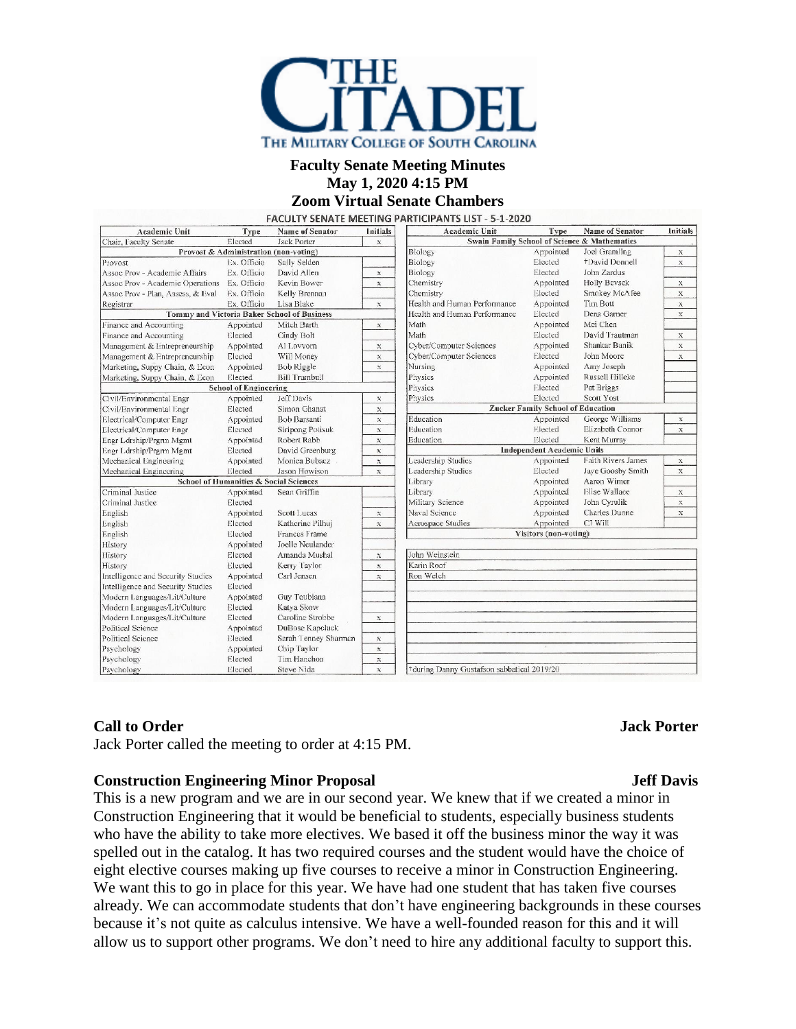

## **Faculty Senate Meeting Minutes May 1, 2020 4:15 PM**

# **Zoom Virtual Senate Chambers**

| <b>Academic Unit</b>                                                   | Type                         | Name of Senator      | <b>Initials</b> | Academic Unit                                | Type      | <b>Name of Senator</b>    | <b>Initials</b> |
|------------------------------------------------------------------------|------------------------------|----------------------|-----------------|----------------------------------------------|-----------|---------------------------|-----------------|
| Elected<br>Chair, Faculty Senate<br><b>Jack Porter</b><br>$\mathbf{x}$ |                              |                      |                 | Swain Family School of Science & Mathematics |           |                           |                 |
| Provost & Administration (non-voting)                                  |                              |                      |                 | Biology                                      | Appointed | Joel Gramling             | $\mathbf X$     |
| Provost                                                                | Ex. Officio                  | Sally Selden         |                 | Biology                                      | Elected   | +David Donnell            | X               |
| Assoc Prov - Academic Affairs                                          | Ex. Officio                  | David Allen          | $\mathbb X$     | Biology                                      | Elected   | John Zardus               |                 |
| Assoc Prov - Academic Operations                                       | Ex. Officio                  | Kevin Bower          | $\mathsf{X}$    | Chemistry                                    | Appointed | Holly Bevsek              | $\mathbf x$     |
| Assoc Prov - Plan, Assess, & Eval                                      | Ex. Officio                  | Kelly Brennan        |                 | Chemistry                                    | Elected   | Smokey McAfee             | $\mathbf x$     |
| Registrar                                                              | Ex. Officio                  | Lisa Blake           | $\mathbf x$     | Health and Human Performance                 | Appointed | Tim Bott                  | $\mathbf x$     |
| Tommy and Victoria Baker School of Business                            |                              |                      |                 | Health and Human Performance                 | Elected   | Dena Garner               | $\mathbf x$     |
| Finance and Accounting                                                 | Appointed                    | Mitch Barth          | $\mathbb X$     | Math                                         | Appointed | Mei Chen                  |                 |
| Finance and Accounting                                                 | Elected                      | Cindy Bolt           |                 | Math                                         | Elected   | David Trautman            | $\mathbf x$     |
| Management & Entrepreneurship                                          | Appointed                    | Al Lovvom            | $\mathbb X$     | Cyber/Computer Sciences                      | Appointed | Shankar Banik             | $\mathbf x$     |
| Management & Entrepreneurship                                          | Elected                      | Will Money           | $\mathbb X$     | Cyber/Computer Sciences                      | Elected   | John Moore                | $\mathbf X$     |
| Marketing, Suppy Chain, & Econ                                         | Appointed                    | <b>Bob Riggle</b>    | $\mathbb X$     | Nursing                                      | Appointed | Amy Joseph                |                 |
| Marketing, Suppy Chain, & Econ                                         | Elected                      | <b>Bill Trumbull</b> |                 | Physics                                      | Appointed | Russell Hilleke           |                 |
|                                                                        | <b>School of Engineering</b> |                      |                 | Physics                                      | Elected   | Pat Briggs                |                 |
| Civil/Environmental Engr                                               | Appointed                    | Jeff Davis           | $\mathbf x$     | Physics                                      | Elected   | Scott Yost                |                 |
| Civil/Environmental Engr                                               | Elected                      | Simon Ghanat         | $\mathbf x$     | <b>Zucker Family School of Education</b>     |           |                           |                 |
| Electrical/Computer Engr                                               | Appointed                    | <b>Bob Barsanti</b>  | $\mathbb X$     | Education                                    | Appointed | George Williams           | $\mathbf x$     |
| Electrical/Computer Engr                                               | Elected                      | Siripong Potisuk     | $\mathbf X$     | Education                                    | Elected   | Elizabeth Connor          | $\mathbf x$     |
| Engr Ldrship/Prgrm Mgmt                                                | Appointed                    | Robert Rabb          | $\mathbf x$     | Education                                    | Elected   | Kent Murrav               |                 |
| Engr Ldrship/Prgrm Mgmt                                                | Elected                      | David Greenburg      | $\mathbf x$     | <b>Independent Academic Units</b>            |           |                           |                 |
| Mechanical Engineering                                                 | Appointed                    | Monica Bubacz        | $\mathbf x$     | Leadership Studies                           | Appointed | <b>Faith Rivers James</b> | $\mathbf X$     |
| Mechanical Engineering                                                 | Elected                      | Jason Howison        | $\mathbbm{X}$   | Leadership Studies                           | Elected   | Jaye Goosby Smith         | $\mathbf{x}$    |
| School of Humanities & Social Sciences                                 |                              |                      |                 | Library                                      | Appointed | Aaron Wimer               |                 |
| Criminal Justice                                                       | Appointed                    | Sean Griffin         |                 | Library                                      | Appointed | Elise Wallace             | $\mathbf x$     |
| Criminal Justice                                                       | Elected                      |                      |                 | Military Science                             | Appointed | John Cyrulik              | $\mathbf x$     |
| English                                                                | Appointed                    | Scott Lucas          | $\mathbb X$     | Naval Science                                | Appointed | <b>Charles Dunne</b>      | $\mathbf x$     |
| English                                                                | Elected                      | Katherine Pilhuj     | $\mathbf x$     | Aerospace Studies                            | Appointed | CJ Will                   |                 |
| English                                                                | Elected                      | Frances Frame        |                 | Visitors (non-voting)                        |           |                           |                 |
| History                                                                | Appointed                    | Joelle Neulander     |                 |                                              |           |                           |                 |
| History                                                                | Elected                      | Amanda Mushal        | $\mathbf X$     | John Weinstein                               |           |                           |                 |
| History                                                                | Elected                      | Kerry Taylor         | $\mathbf{x}$    | Karin Roof                                   |           |                           |                 |
| Intelligence and Security Studies                                      | Appointed                    | Carl Jensen          | $\mathbf{x}$    | Ron Welch                                    |           |                           |                 |
| Intelligence and Security Studies                                      | Elected                      |                      |                 |                                              |           |                           |                 |
| Modern Languages/Lit/Culture                                           | Appointed                    | Guy Toubiana         |                 |                                              |           |                           |                 |
| Modern Languages/Lit/Culture                                           | Elected                      | Katva Skow           |                 |                                              |           |                           |                 |
| Modern Languages/Lit/Culture                                           | Elected                      | Caroline Strobbe     | $\mathbf X$     |                                              |           |                           |                 |
| <b>Political Science</b>                                               | Appointed                    | DuBose Kapeluck      |                 |                                              |           |                           |                 |
| Political Science                                                      | Elected                      | Sarah Tenney Sharman | $\mathbf x$     |                                              |           |                           |                 |
| Psychology                                                             | Appointed                    | Chip Taylor          | $\mathbf x$     |                                              | $\sim$    |                           |                 |
| Psychology                                                             | Elected                      | Tim Hanchon          | $\mathbbm{X}$   |                                              |           |                           |                 |
| Psychology                                                             | Elected                      | Steve Nida           | $\mathbf{x}$    | +during Danny Gustafson sabbatical 2019/20   |           |                           |                 |

#### **Call to Order Jack Porter**

Jack Porter called the meeting to order at 4:15 PM.

#### **Construction Engineering Minor Proposal Jeff Davis**

This is a new program and we are in our second year. We knew that if we created a minor in Construction Engineering that it would be beneficial to students, especially business students who have the ability to take more electives. We based it off the business minor the way it was spelled out in the catalog. It has two required courses and the student would have the choice of eight elective courses making up five courses to receive a minor in Construction Engineering. We want this to go in place for this year. We have had one student that has taken five courses already. We can accommodate students that don't have engineering backgrounds in these courses because it's not quite as calculus intensive. We have a well-founded reason for this and it will allow us to support other programs. We don't need to hire any additional faculty to support this.